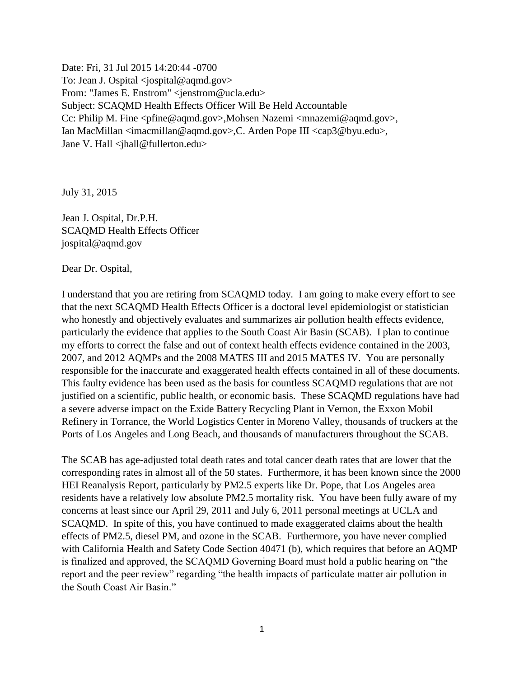Date: Fri, 31 Jul 2015 14:20:44 -0700 To: Jean J. Ospital < jospital@aqmd.gov> From: "James E. Enstrom" <jenstrom@ucla.edu> Subject: SCAQMD Health Effects Officer Will Be Held Accountable Cc: Philip M. Fine <pfine@aqmd.gov>,Mohsen Nazemi <mnazemi@aqmd.gov>, Ian MacMillan <imacmillan@aqmd.gov>,C. Arden Pope III <cap3@byu.edu>, Jane V. Hall <jhall@fullerton.edu>

July 31, 2015

Jean J. Ospital, Dr.P.H. SCAQMD Health Effects Officer jospital@aqmd.gov

Dear Dr. Ospital,

I understand that you are retiring from SCAQMD today. I am going to make every effort to see that the next SCAQMD Health Effects Officer is a doctoral level epidemiologist or statistician who honestly and objectively evaluates and summarizes air pollution health effects evidence, particularly the evidence that applies to the South Coast Air Basin (SCAB). I plan to continue my efforts to correct the false and out of context health effects evidence contained in the 2003, 2007, and 2012 AQMPs and the 2008 MATES III and 2015 MATES IV. You are personally responsible for the inaccurate and exaggerated health effects contained in all of these documents. This faulty evidence has been used as the basis for countless SCAQMD regulations that are not justified on a scientific, public health, or economic basis. These SCAQMD regulations have had a severe adverse impact on the Exide Battery Recycling Plant in Vernon, the Exxon Mobil Refinery in Torrance, the World Logistics Center in Moreno Valley, thousands of truckers at the Ports of Los Angeles and Long Beach, and thousands of manufacturers throughout the SCAB.

The SCAB has age-adjusted total death rates and total cancer death rates that are lower that the corresponding rates in almost all of the 50 states. Furthermore, it has been known since the 2000 HEI Reanalysis Report, particularly by PM2.5 experts like Dr. Pope, that Los Angeles area residents have a relatively low absolute PM2.5 mortality risk. You have been fully aware of my concerns at least since our April 29, 2011 and July 6, 2011 personal meetings at UCLA and SCAQMD. In spite of this, you have continued to made exaggerated claims about the health effects of PM2.5, diesel PM, and ozone in the SCAB. Furthermore, you have never complied with California Health and Safety Code Section 40471 (b), which requires that before an AQMP is finalized and approved, the SCAQMD Governing Board must hold a public hearing on "the report and the peer review" regarding "the health impacts of particulate matter air pollution in the South Coast Air Basin."